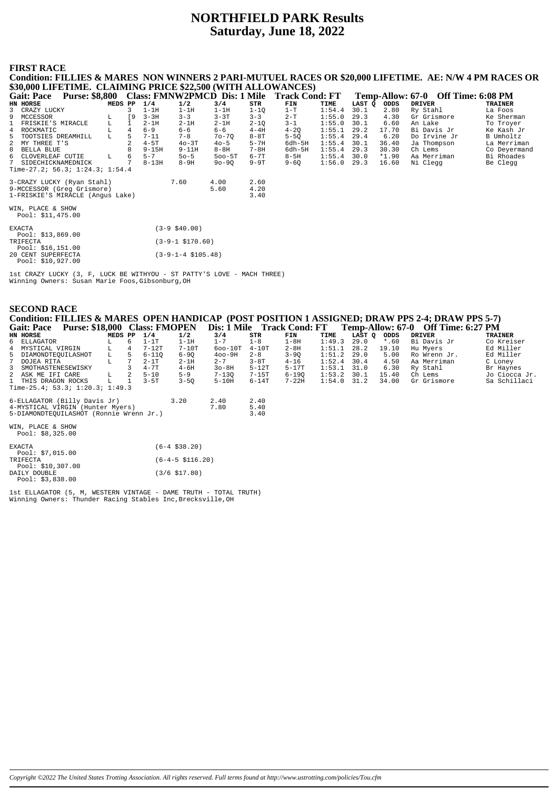# **NORTHFIELD PARK Results Saturday, June 18, 2022**

## **FIRST RACE**

**Condition: FILLIES & MARES NON WINNERS 2 PARI-MUTUEL RACES OR \$20,000 LIFETIME. AE: N/W 4 PM RACES OR \$30,000 LIFETIME. CLAIMING PRICE \$22,500 (WITH ALLOWANCES) Gait: Pace Purse: \$8,800 Class: FMNW2PMCD Dis: 1 Mile Track Cond: FT Temp-Allow: 67-0 Off Time: 6:08 PM<br>
EN HORSE MEDS PP 1/4 1/2 3/4 STR FIN TIME LAST Q ODDS DRIVER TRAINER<br>
3 CRAZY LUCKY 1 9 3-3H 1-1H 1-1H 1-1H 1-1Q 1-T HN HORSE MEDS PP 1/4 1/2 3/4 STR FIN TIME LAST Q ODDS DRIVER TRAINER** 3 CRAZY LUCKY 3 1-1H 1-1H 1-1H 1-1Q 1-T 1:54.4 30.1 2.80 Ry Stahl La Foos 9 MCCESSOR L [9 3-3H 3-3 3-3T 3-3 2-T 1:55.0 29.3 4.30 Gr Grismore Ke Sherman 1 FRISKIE'S MIRACLE L 1 2-1H 2-1H 2-1H 2-1Q 2-1 1:55.0 30.1 6.60 An Lake To Troyer<br>1 ROCKMATIC L 4 6-9 6-6 6-6 4-4H 4-2Q 1:55.1 29.2 17.70 Bi Davis Jr Ke Kash Jr 4 ROCKMATIC L 4 6-9 6-6 6-6 4-4H 4-2Q 1:55.1 29.2 17.70 Bi Davis Jr Ke Kash Jr 5 TOOTSIES DREAMHILL L 5 7-11 7-8 7o-7Q 8-8T 5-5Q 1:55.4 29.4 6.20 Do Irvine Jr Re Nasily<br>2 MY THREE T'S 2 4-5T 4o-3T 4o-5 5-7H 6dh-5H 1:55.4 30.1 36.40 Ja Thompson La Merriman<br>8 BLILA BLILA B 9-15H 9-1H 8-8H 7-8H 6dh-5H 1 2 MY THREE T'S 2 4-5T 4o-3T 4o-5 5-7H 6dh-5H 1:55.4 30.1 36.40 Ja Thompson La Merriman 8 BELLA BLUE 8 9-15H 9-11H 8-8H 7-8H 6dh-5H 1:55.4 29.3 30.30 Ch Lems Co Deyermand 6 CLOVERLEAF CUTIE L 6 5-7 5o-5 5oo-5T 6-7T 8-5H 1:55.4 30.0 \*1.90 Aa Merriman Bi Rhoades 7 SIDECHICKNAMEDNICK 7 8-13H 8-9H 9o-9Q 9-9T 9-6Q 1:56.0 29.3 16.60 Ni Clegg Be Clegg Time-27.2; 56.3; 1:24.3; 1:54.4 3-CRAZY LUCKY (Ryan Stahl) 7.60 4.00 2.60 9-MCCESSOR (Greg Grismore) 5.60 4.20 1-FRISKIE'S MIRACLE (Angus Lake) 3.40 WIN, PLACE & SHOW Pool: \$11,475.00

| <b>EXACTA</b>      | $(3-9 \; $40.00)$      |
|--------------------|------------------------|
| Pool: \$13,869.00  |                        |
| TRIFECTA           | $(3-9-1 \ $170.60)$    |
| Pool: $$16,151.00$ |                        |
| 20 CENT SUPERFECTA | $(3-9-1-4 \; $105.48)$ |
| Pool: \$10,927.00  |                        |

1st CRAZY LUCKY (3, F, LUCK BE WITHYOU - ST PATTY'S LOVE - MACH THREE) Winning Owners: Susan Marie Foos,Gibsonburg,OH

| <b>SECOND RACE</b><br>Condition: FILLIES & MARES OPEN HANDICAP (POST POSITION 1 ASSIGNED; DRAW PPS 2-4; DRAW PPS 5-7)<br>Purse: \$18,000 Class: FMOPEN<br>Dis: 1 Mile Track Cond: FT Temp-Allow: 67-0 Off Time: 6:27 PM |         |                 |           |                      |             |         |           |        |        |         |               |                |
|-------------------------------------------------------------------------------------------------------------------------------------------------------------------------------------------------------------------------|---------|-----------------|-----------|----------------------|-------------|---------|-----------|--------|--------|---------|---------------|----------------|
| <b>Gait: Pace</b>                                                                                                                                                                                                       |         |                 |           |                      |             |         |           |        |        |         |               |                |
| HN HORSE                                                                                                                                                                                                                | MEDS PP |                 | 1/4       | 1/2                  | 3/4         | STR     | FIN       | TIME   | LAST Q | ODDS    | <b>DRIVER</b> | <b>TRAINER</b> |
| ELLAGATOR<br>6                                                                                                                                                                                                          | L       | 6               | $1-1T$    | $1-1H$               | $1 - 7$     | $1 - 8$ | $1-8H$    | 1:49.3 | 29.0   | $*$ .60 | Bi Davis Jr   | Co Kreiser     |
| MYSTICAL VIRGIN                                                                                                                                                                                                         | г       | 4               | $7-12T$   | $7-10T$              | $600 - 10T$ | $4-10T$ | $2 - 8H$  | 1:51.1 | 28.2   | 19.10   | Hu Myers      | Ed Miller      |
| 5<br>DIAMONDTEQUILASHOT                                                                                                                                                                                                 | L       | 5               | $6 - 110$ | $6 - 90$             | $400 - 9H$  | $2 - 8$ | $3-9Q$    | 1:51.2 | 29.0   | 5.00    | Ro Wrenn Jr.  | Ed Miller      |
| DOJEA RITA                                                                                                                                                                                                              | L       | $7\phantom{.0}$ | $2-1T$    | $2-1H$               | $2 - 7$     | $3-8T$  | $4 - 16$  | 1:52.4 | 30.4   | 4.50    | Aa Merriman   | C Loney        |
| SMOTHASTENESEWISKY                                                                                                                                                                                                      |         |                 | $4 - 7T$  | $4 - 6H$             | $30-8H$     | $5-12T$ | $5-17T$   | 1:53.1 | 31.0   | 6.30    | Ry Stahl      | Br Haynes      |
| ASK ME IFI CARE                                                                                                                                                                                                         | L       | 2               | $5 - 10$  | $5 - 9$              | $7 - 13Q$   | $7-15T$ | $6 - 190$ | 1:53.2 | 30.1   | 15.40   | Ch Lems       | Jo Ciocca Jr.  |
| THIS DRAGON ROCKS                                                                                                                                                                                                       | L       |                 | $3-5T$    | $3 - 50$             | $5-10H$     | $6-14T$ | $7-22H$   | 1:54.0 | 31.2   | 34.00   | Gr Grismore   | Sa Schillaci   |
| Time-25.4; 53.3; $1:20.3$ ; $1:49.3$                                                                                                                                                                                    |         |                 |           |                      |             |         |           |        |        |         |               |                |
| 6-ELLAGATOR (Billy Davis Jr)                                                                                                                                                                                            |         |                 |           | 3.20                 | 2.40        | 2.40    |           |        |        |         |               |                |
| 4-MYSTICAL VIRGIN (Hunter Myers)                                                                                                                                                                                        |         |                 |           |                      | 7.80        | 5.40    |           |        |        |         |               |                |
| 5-DIAMONDTEQUILASHOT (Ronnie Wrenn Jr.)                                                                                                                                                                                 |         |                 |           |                      |             | 3.40    |           |        |        |         |               |                |
| WIN, PLACE & SHOW                                                                                                                                                                                                       |         |                 |           |                      |             |         |           |        |        |         |               |                |
| Pool: $$8,325.00$                                                                                                                                                                                                       |         |                 |           |                      |             |         |           |        |        |         |               |                |
| <b>EXACTA</b>                                                                                                                                                                                                           |         |                 |           | $(6-4, 538.20)$      |             |         |           |        |        |         |               |                |
| Pool: $$7,015.00$                                                                                                                                                                                                       |         |                 |           |                      |             |         |           |        |        |         |               |                |
| TRIFECTA                                                                                                                                                                                                                |         |                 |           | $(6-4-5 \; $116.20)$ |             |         |           |        |        |         |               |                |
| Pool: $$10,307.00$                                                                                                                                                                                                      |         |                 |           |                      |             |         |           |        |        |         |               |                |
| DAILY DOUBLE                                                                                                                                                                                                            |         |                 |           | $(3/6 \; $17.80)$    |             |         |           |        |        |         |               |                |
| Pool: $$3,838.00$                                                                                                                                                                                                       |         |                 |           |                      |             |         |           |        |        |         |               |                |

1st ELLAGATOR (5, M, WESTERN VINTAGE - DAME TRUTH - TOTAL TRUTH) Winning Owners: Thunder Racing Stables Inc,Brecksville,OH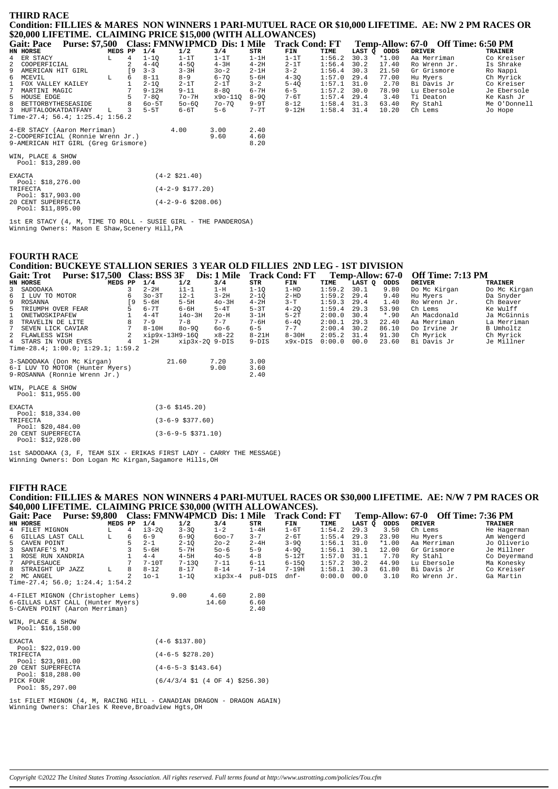#### **THIRD RACE** Condition: FILLIES & MARES NON WINNERS 1 PARI-MUTUEL RACE OR \$10,000 LIFETIME. AE: NW 2 PM RACES OR \$20,000 LIFETIME. CLAIMING PRICE \$15,000 (WITH ALLOWANCES)

| <b>Gait: Pace</b>                        | <b>Purse: \$7,500</b> |           |           |                    |           |          | Class: FMNW1PMCD Dis: 1 Mile Track Cond: FT |        |        |         | Temp-Allow: 67-0 Off Time: 6:50 PM |                |
|------------------------------------------|-----------------------|-----------|-----------|--------------------|-----------|----------|---------------------------------------------|--------|--------|---------|------------------------------------|----------------|
| HN HORSE                                 |                       | MEDS PP   | 1/4       | 1/2                | 3/4       | STR      | FIN                                         | TIME   | LAST Q | ODDS    | <b>DRIVER</b>                      | <b>TRAINER</b> |
| 4 ER STACY                               | L                     | 4         | $1 - 10$  | $1-1T$             | $1-1T$    | $1-1H$   | $1-1T$                                      | 1:56.2 | 30.3   | $*1.00$ | Aa Merriman                        | Co Kreiser     |
| 2 COOPERFICIAL                           |                       |           | $4 - 4Q$  | $4 - 5Q$           | $4-3H$    | $4 - 2H$ | $2-1T$                                      | 1:56.4 | 30.2   | 17.40   | Ro Wrenn Jr.                       | Is Shrake      |
| 9 AMERICAN HIT GIRL                      |                       | <b>19</b> | $3 - 3$   | $3 - 3H$           | $30 - 2$  | $2-1H$   | $3 - 2$                                     | 1:56.4 | 30.3   | 21.50   | Gr Grismore                        | Ro Nappi       |
| 6 MCEVIL                                 | L                     | 6         | $8 - 11$  | $8 - 9$            | $6 - 70$  | $5 - 6H$ | $4 - 30$                                    | 1:57.0 | 29.4   | 77.00   | Hu Myers                           | Ch Myrick      |
| $\mathbf{1}$<br>FOX VALLEY KAILEY        |                       |           | $2 - 10$  | $2-1T$             | $2-1T$    | $3 - 2$  | $5 - 4Q$                                    | 1:57.1 | 31.0   | 2.70    | Bi Davis Jr                        | Co Kreiser     |
| MARTINI MAGIC<br>7                       |                       |           | $9 - 12H$ | $9 - 11$           | $8 - 8Q$  | $6 - 7H$ | $6 - 5$                                     | 1:57.2 | 30.0   | 78.90   | Lu Ebersole                        | Je Ebersole    |
| 5 HOUSE EDGE                             |                       |           | $7 - 80$  | $7o-7H$            | x9o-110   | $8 - 90$ | 7-6T                                        | 1:57.4 | 29.4   | 3.40    | Ti Deaton                          | Ke Kash Jr     |
| 8 BETTORBYTHESEASIDE                     |                       |           | $60 - 5T$ | $50 - 60$          | $70 - 70$ | $9-9T$   | $8 - 12$                                    | 1:58.4 | 31.3   | 63.40   | Ry Stahl                           | Me O'Donnell   |
| 3 HUFTALOOKATDATFANY                     | L.                    | 3         | $5-5T$    | $6-6T$             | $5 - 6$   | $7 - 7T$ | $9 - 12H$                                   | 1:58.4 | 31.4   | 10.20   | Ch Lems                            | Jo Hope        |
| Time-27.4; 56.4; 1:25.4; 1:56.2          |                       |           |           |                    |           |          |                                             |        |        |         |                                    |                |
| 4-ER STACY (Aaron Merriman)              |                       |           |           | 4.00               | 3.00      | 2.40     |                                             |        |        |         |                                    |                |
| 2-COOPERFICIAL (Ronnie Wrenn Jr.)        |                       |           |           |                    | 9.60      | 4.60     |                                             |        |        |         |                                    |                |
| 9-AMERICAN HIT GIRL (Greq Grismore)      |                       |           |           |                    |           | 8.20     |                                             |        |        |         |                                    |                |
| WIN, PLACE & SHOW<br>Pool: $$13,289.00$  |                       |           |           |                    |           |          |                                             |        |        |         |                                    |                |
| EXACTA<br>Pool: $$18,276.00$             |                       |           |           | $(4-2 \; $21.40)$  |           |          |                                             |        |        |         |                                    |                |
| TRIFECTA<br>Pool: $$17,903.00$           |                       |           |           | $(4-2-9$ \$177.20) |           |          |                                             |        |        |         |                                    |                |
| 20 CENT SUPERFECTA<br>Pool: $$11,895.00$ | $(4-2-9-6 \ $208.06)$ |           |           |                    |           |          |                                             |        |        |         |                                    |                |

1st ER STACY (4, M, TIME TO ROLL - SUSIE GIRL - THE PANDEROSA)<br>Winning Owners: Mason E Shaw, Scenery Hill, PA

#### **FOURTH RACE**

# Condition: BUCKEYE STALLION SERIES 3 YEAR OLD FILLIES 2ND LEG - 1ST DIVISION

| Gail: Trol           | Purse: 317,500 Class: BSS 3P            |             |                |                | DIS: 1 MILLE |           | TLACK COUGE L |               | тепір-Апом: 07-9 |        | <b>OII THE:</b> /:15 PM |              |
|----------------------|-----------------------------------------|-------------|----------------|----------------|--------------|-----------|---------------|---------------|------------------|--------|-------------------------|--------------|
| HN HORSE             |                                         | MEDS PP     | 1/4            | 1/2            | 3/4          | STR       | FIN           | TIME          | LAST O ODDS      |        | DRIVER                  | TRAINER      |
| 3 SADODAKA           |                                         |             | $2 - 2H$       | $i1-1$         | $1-H$        | 1-10      | $1 - HD$      | 1:59.2        | 30.1             | 9.80   | Do Mc Kirgan            | Do Mc Kirgan |
| 6 I LUV TO MOTOR     |                                         | 6           | $30-3T$        | $i2-1$         | $3-2H$       | $2 - 10$  | 2-HD          | 1:59.2        | 29.4             | 9.40   | Hu Myers                | Da Snyder    |
| 9 ROSANNA            |                                         | ſ9.         | 5-6H           | $5-5H$         | $40-3H$      | $4-2H$    | 3-T           | $1:59.3$ 29.4 |                  | 1.40   | Ro Wrenn Jr.            | Ch Beaver    |
| 5 TRIUMPH OVER FEAR  |                                         |             | $6 - 7T$       | 6-6H           | $5-4T$       | $5 - 3T$  | $4 - 20$      | 1:59.4        | 29.3             | 53.90  | Ch Lems                 | Ke Wulff     |
| 1 ONETWOSKIPAFEW     |                                         |             | $4-4T$         | $i40-3H$       | 20-H         | $3-1H$    | $5-2T$        | 2:00.0        | 30.4             | $*.90$ | An Macdonald            | Ja McGinnis  |
| 8 TRAVELIN DE LITE   |                                         |             | $7 - 9$        | $7 - 8$        | $7 - 7$      | $7 - 6H$  | $6 - 40$      | 2:00.1        | 29.3             | 22.40  | Aa Merriman             | La Merriman  |
| 7 SEVEN LICK CAVIAR  |                                         |             | $8-10H$        | $80 - 90$      | 60-6         | $6 - 5$   | $7 - 7$       | $2:00.4$ 30.2 |                  | 86.10  | Do Irvine Jr            | B Umholtz    |
| 2 FLAWLESS WISH      |                                         |             | xip9x-13H9-16O |                | x8-22        | $8 - 21H$ | $8 - 30H$     | 2:05.2        | 31.4             | 91.30  | Ch Mvrick               | Ch Myrick    |
| 4 STARS IN YOUR EYES |                                         | $4^{\circ}$ | 1-2H           | xip3x-20 9-DIS |              | $9-DIS$   | x9x-DIS       | $0:00.0$ 00.0 |                  | 23.60  | Bi Davis Jr             | Je Millner   |
|                      | Time-28.4; $1:00.0;$ $1:29.1;$ $1:59.2$ |             |                |                |              |           |               |               |                  |        |                         |              |
|                      | 3-SADODAKA (Don Mc Kirgan)              |             |                | 21.60          | 7.20         | 3.00      |               |               |                  |        |                         |              |
|                      | 6-I LUV TO MOTOR (Hunter Myers)         |             |                |                | 9.00         | 3.60      |               |               |                  |        |                         |              |
|                      | 9-ROSANNA (Ronnie Wrenn Jr.)            |             |                |                |              | 2.40      |               |               |                  |        |                         |              |

 $\Omega_{\rm F}$  T<sub>1</sub>  $\ldots$  7.12 DM

| 6-I LUV TO MOTOR (Hunter Myers)<br>9-ROSANNA (Ronnie Wrenn Jr.) |
|-----------------------------------------------------------------|
| WIN, PLACE & SHOW<br>Pool: \$11,955,00                          |

| PUUL QIL, JJJ.UU               |                              |
|--------------------------------|------------------------------|
| <b>EXACTA</b>                  | $(3-6 \text{ } $145.20)$     |
| Pool: $$18.334.00$<br>TRIFECTA | $(3-6-9 \text{ } $377.60)$   |
| Pool: $$20,484.00$             |                              |
| 20 CENT SUPERFECTA             | $(3-6-9-5 \text{ } $371.10)$ |
| Pool: \$12,928,00              |                              |

1st SADODAKA (3, F, TEAM SIX - ERIKAS FIRST LADY - CARRY THE MESSAGE)<br>Winning Owners: Don Logan Mc Kirgan, Sagamore Hills, OH

#### **FIFTH RACE**

## Condition: FILLIES & MARES NON WINNERS 4 PARI-MUTUEL RACES OR \$30,000 LIFETIME. AE: N/W 7 PM RACES OR \$40,000 LIFETIME. CLAIMING PRICE \$30,000 (WITH ALLOWANCES).

| <b>Purse: \$9,800</b><br><b>Gait: Pace</b> |         |   |          |                            | Class: FMNW4PMCD Dis: 1 Mile                                                 |          | <b>Track Cond: FT</b> |        |        |         | Temp-Allow: 67-0 Off Time: 7:36 PM |                |
|--------------------------------------------|---------|---|----------|----------------------------|------------------------------------------------------------------------------|----------|-----------------------|--------|--------|---------|------------------------------------|----------------|
| HN HORSE                                   | MEDS PP |   | 1/4      | 1/2                        | 3/4                                                                          | STR      | FIN                   | TIME   | LAST Q | ODDS    | <b>DRIVER</b>                      | <b>TRAINER</b> |
| 4 FILET MIGNON                             | L       | 4 | $i3-2Q$  | $3 - 3Q$                   | $1 - 2$                                                                      | $1-4H$   | $1-6T$                | 1:54.2 | 29.3   | 3.50    | Ch Lems                            | He Hagerman    |
| 6 GILLAS LAST CALL                         | L       | 6 | $6 - 9$  | $6 - 90$                   | $600 - 7$                                                                    | $3 - 7$  | $2-6T$                | 1:55.4 | 29.3   | 23.90   | Hu Myers                           | Am Wengerd     |
| 5 CAVEN POINT                              |         |   | $2 - 1$  | $2 - 1Q$                   | $20 - 2$                                                                     | $2 - 4H$ | $3 - 90$              | 1:56.1 | 31.0   | $*1.00$ | Aa Merriman                        | Jo Oliverio    |
| $\overline{3}$<br>SANTAFE'S MJ             |         |   | $5 - 6H$ | $5 - 7H$                   | $50 - 6$                                                                     | $5 - 9$  | $4-9Q$                | 1:56.1 | 30.1   | 12.00   | Gr Grismore                        | Je Millner     |
| 1 ROSE RUN XANDRIA                         |         |   | $4 - 4$  | $4-5H$                     | $40 - 5$                                                                     | $4 - 8$  | $5-12T$               | 1:57.0 | 31.1   | 7.70    | Ry Stahl                           | Co Deyermand   |
| APPLESAUCE                                 |         |   | $7-10T$  | $7 - 130$                  | $7 - 11$                                                                     | $6 - 11$ | $6 - 15Q$             | 1:57.2 | 30.2   | 44.90   | Lu Ebersole                        | Ma Konesky     |
| 8 STRAIGHT UP JAZZ                         | L       | 8 | $8 - 12$ | $8 - 17$                   | $8 - 14$                                                                     | $7 - 14$ | $7 - 19H$             | 1:58.1 | 30.3   | 61.80   | Bi Davis Jr                        | Co Kreiser     |
| 2 MC ANGEL                                 |         |   | $10 - 1$ | $1 - 10$                   | $xip3x-4$                                                                    | pu8-DIS  | dnf-                  | 0:00.0 | 00.0   | 3.10    | Ro Wrenn Jr.                       | Ga Martin      |
| Time-27.4; 56.0; $1:24.4$ ; $1:54.2$       |         |   |          |                            |                                                                              |          |                       |        |        |         |                                    |                |
| 4-FILET MIGNON (Christopher Lems)          |         |   |          | 9.00                       | 4.60                                                                         | 2.80     |                       |        |        |         |                                    |                |
| 6-GILLAS LAST CALL (Hunter Myers)          |         |   |          |                            | 14.60                                                                        | 6.60     |                       |        |        |         |                                    |                |
| 5-CAVEN POINT (Aaron Merriman)             |         |   |          |                            |                                                                              | 2.40     |                       |        |        |         |                                    |                |
| WIN, PLACE & SHOW                          |         |   |          |                            |                                                                              |          |                       |        |        |         |                                    |                |
| Pool: $$16,158.00$                         |         |   |          |                            |                                                                              |          |                       |        |        |         |                                    |                |
| <b>EXACTA</b>                              |         |   |          | $(4-6 \; $137.80)$         |                                                                              |          |                       |        |        |         |                                    |                |
| Pool: $$22,019.00$                         |         |   |          |                            |                                                                              |          |                       |        |        |         |                                    |                |
| TRIFECTA                                   |         |   |          | $(4-6-5 \text{ } $278.20)$ |                                                                              |          |                       |        |        |         |                                    |                |
| Pool: $$23,981.00$<br>20 CENT SUPERFECTA   |         |   |          | $(4-6-5-3 \; $143.64)$     |                                                                              |          |                       |        |        |         |                                    |                |
| Pool: \$18,288.00                          |         |   |          |                            |                                                                              |          |                       |        |        |         |                                    |                |
| PICK FOUR                                  |         |   |          |                            | $(6/4/3/4 \text{ } $1 \text{ } (4 \text{ } 0F \text{ } 4) \text{ } $256.30)$ |          |                       |        |        |         |                                    |                |
| Pool: $$5,297.00$                          |         |   |          |                            |                                                                              |          |                       |        |        |         |                                    |                |
|                                            |         |   |          |                            |                                                                              |          |                       |        |        |         |                                    |                |

1st FILET MIGNON (4, M, RACING HILL - CANADIAN DRAGON - DRAGON AGAIN)<br>Winning Owners: Charles K Reeve,Broadview Hgts,OH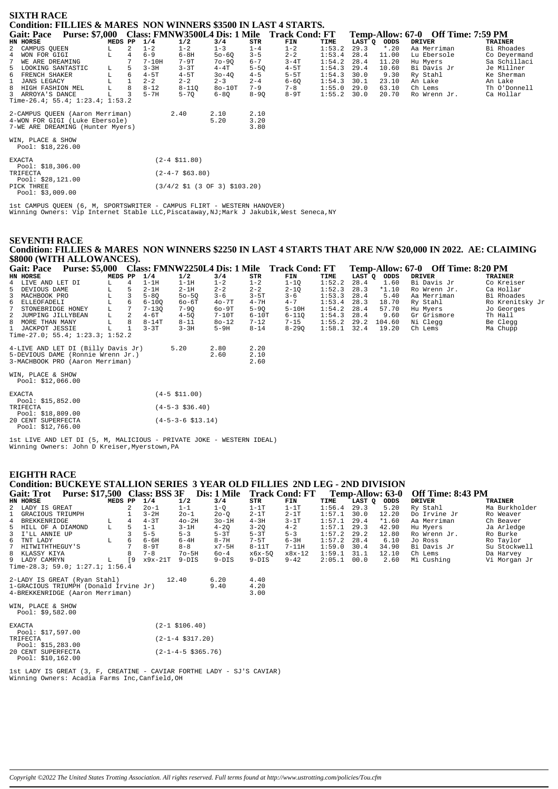| <b>SIXTH RACE</b>                                                                                     |                                                                            |         |   |           |                    |              |                      |                                              |        |        |         |                                    |                |
|-------------------------------------------------------------------------------------------------------|----------------------------------------------------------------------------|---------|---|-----------|--------------------|--------------|----------------------|----------------------------------------------|--------|--------|---------|------------------------------------|----------------|
| Condition: FILLIES & MARES NON WINNERS \$3500 IN LAST 4 STARTS.                                       |                                                                            |         |   |           |                    |              |                      |                                              |        |        |         |                                    |                |
| <b>Gait: Pace</b>                                                                                     | <b>Purse: \$7,000</b>                                                      |         |   |           |                    |              |                      | Class: FMNW3500L4 Dis: 1 Mile Track Cond: FT |        |        |         | Temp-Allow: 67-0 Off Time: 7:59 PM |                |
| HN HORSE                                                                                              |                                                                            | MEDS PP |   | 1/4       | 1/2                | 3/4          | <b>STR</b>           | FIN                                          | TIME   | LAST Q | ODDS    | <b>DRIVER</b>                      | <b>TRAINER</b> |
| 2 CAMPUS OUEEN                                                                                        | L.                                                                         |         | 2 | $1 - 2$   | $1 - 2$            | $1 - 3$      | $1 - 4$              | $1 - 2$                                      | 1:53.2 | 29.3   | $*$ .20 | Aa Merriman                        | Bi Rhoades     |
| WON FOR GIGI                                                                                          | L                                                                          |         |   | $6 - 9$   | $6 - 8H$           | $50 - 60$    | $3 - 5$              | $2 - 2$                                      | 1:53.4 | 28.4   | 11.00   | Lu Ebersole                        | Co Deyermand   |
| 7<br>WE ARE DREAMING                                                                                  |                                                                            |         |   | $7 - 10H$ | 7-9T               | $70 - 90$    | $6 - 7$              | $3-4T$                                       | 1:54.2 | 28.4   | 11.20   | Hu Myers                           | Sa Schillaci   |
| LOOKING SANTASTIC<br>5                                                                                | L.                                                                         | 5       |   | $3 - 3H$  | $3 - 3T$           | $4-4T$       | $5 - 50$             | $4-5T$                                       | 1:54.3 | 29.4   | 10.60   | Bi Davis Jr                        | Je Millner     |
| 6<br>FRENCH SHAKER                                                                                    | L                                                                          | 6       |   | $4-5T$    | $4-5T$             | $30 - 40$    | $4 - 5$              | $5-5T$                                       | 1:54.3 | 30.0   | 9.30    | Ry Stahl                           | Ke Sherman     |
| <b>JANS LEGACY</b>                                                                                    |                                                                            |         |   | $2 - 2$   | $2 - 2$            | $2 - 3$      | $2 - 4$              | $6 - 6Q$                                     | 1:54.3 | 30.1   | 23.10   | An Lake                            | An Lake        |
| HIGH FASHION MEL                                                                                      |                                                                            | 8       |   | $8 - 12$  | $8 - 110$          | $80-10T$     | $7 - 9$              | $7 - 8$                                      | 1:55.0 | 29.0   | 63.10   | Ch Lems                            | Th O'Donnell   |
| 3 ARROYA'S DANCE                                                                                      |                                                                            | 3       |   | $5 - 7H$  | $5 - 70$           | $6 - 80$     | $8 - 90$             | $8-9T$                                       | 1:55.2 | 30.0   | 20.70   | Ro Wrenn Jr.                       | Ca Hollar      |
| Time-26.4; 55.4; $1:23.4$ ; $1:53.2$                                                                  |                                                                            |         |   |           |                    |              |                      |                                              |        |        |         |                                    |                |
| 2-CAMPUS OUEEN (Aaron Merriman)<br>4-WON FOR GIGI (Luke Ebersole)<br>7-WE ARE DREAMING (Hunter Myers) |                                                                            |         |   |           | 2.40               | 2.10<br>5.20 | 2.10<br>3.20<br>3.80 |                                              |        |        |         |                                    |                |
| WIN, PLACE & SHOW<br>Pool: $$18,226.00$                                                               |                                                                            |         |   |           |                    |              |                      |                                              |        |        |         |                                    |                |
| <b>EXACTA</b><br>Pool: $$18,306.00$                                                                   |                                                                            |         |   |           | $(2-4 \; $11.80)$  |              |                      |                                              |        |        |         |                                    |                |
| TRIFECTA<br>Pool: $$28,121.00$                                                                        |                                                                            |         |   |           | $(2-4-7 \ $63.80)$ |              |                      |                                              |        |        |         |                                    |                |
| PICK THREE<br>Pool: $$3,009.00$                                                                       | $(3/4/2 \text{ } 51 \text{ } (3 \text{ } 0F \text{ } 3) \text{ } $103.20)$ |         |   |           |                    |              |                      |                                              |        |        |         |                                    |                |

1st CAMPUS QUEEN (6, M, SPORTSWRITER - CAMPUS FLIRT - WESTERN HANOVER) Winning Owners: Vip Internet Stable LLC,Piscataway,NJ;Mark J Jakubik,West Seneca,NY

## **SEVENTH RACE Condition: FILLIES & MARES NON WINNERS \$2250 IN LAST 4 STARTS THAT ARE N/W \$20,000 IN 2022. AE: CLAIMING \$8000 (WITH ALLOWANCES).**

| <b>Gait: Pace</b>               | <b>Purse: \$5,000</b> |         |              |           | Class: FMNW2250L4 Dis: 1 Mile |           |          | <b>Track Cond: FT</b> |        |        |             | Temp-Allow: 67-0 Off Time: 8:20 PM |                 |
|---------------------------------|-----------------------|---------|--------------|-----------|-------------------------------|-----------|----------|-----------------------|--------|--------|-------------|------------------------------------|-----------------|
| HN HORSE                        |                       | MEDS PP |              | 1/4       | 1/2                           | 3/4       | STR      | FIN                   | TIME   | LAST O | <b>ODDS</b> | DRIVER                             | <b>TRAINER</b>  |
| 4 LIVE AND LET DI               |                       |         |              | $1-1H$    | 1-1H                          | $1 - 2$   | $1 - 2$  | $1 - 10$              | 1:52.2 | 28.4   | 1.60        | Bi Davis Jr                        | Co Kreiser      |
| 5 DEVIOUS DAME                  |                       |         |              | $2-1H$    | $2 - 1H$                      | $2 - 2$   | $2 - 2$  | $2 - 10$              | 1:52.3 | 28.3   | $*1.10$     | Ro Wrenn Jr.                       | Ca Hollar       |
| 3 MACHBOOK PRO                  |                       |         |              | $5 - 80$  | $50 - 50$                     | $3 - 6$   | $3 - 5T$ | $3 - 6$               | 1:53.3 | 28.4   | 5.40        | Aa Merriman                        | Bi Rhoades      |
| 6 ELLEOFADELI                   |                       |         | <sub>b</sub> | $6 - 100$ | $60 - 6T$                     | $40 - 7T$ | $4 - 7H$ | $4 - 7$               | 1:53.4 | 28.3   | 18.70       | Ry Stahl                           | Ro Krenitsky Jr |
| 7 STONEBRIDGE HONEY             |                       |         |              | $7 - 130$ | $7 - 90$                      | $60-9T$   | $5 - 90$ | $5-10H$               | 1:54.2 | 28.4   | 57.70       | Hu Mvers                           | Jo Georges      |
| 2 JUMPING JILLYBEAN             |                       | T.      |              | $4-6T$    | $4 - 50$                      | $7-10T$   | $6-10T$  | $6 - 110$             | 1:54.3 | 28.4   | 9.60        | Gr Grismore                        | Th Hall         |
| 8 MORE THAN MANY                |                       |         | 8            | $8 - 14T$ | $8 - 11$                      | $80 - 12$ | $7 - 12$ | $7 - 15$              | 1:55.2 | 29.2   | 104.60      | Ni Clegg                           | Be Clegg        |
| 1 JACKPOT JESSIE                |                       |         |              | $3 - 3T$  | $3 - 3H$                      | $5-9H$    | $8 - 14$ | $8 - 290$             | 1:58.1 | 32.4   | 19.20       | Ch Lems                            | Ma Chupp        |
| Time-27.0; 55.4; 1:23.3; 1:52.2 |                       |         |              |           |                               |           |          |                       |        |        |             |                                    |                 |

| 4-LIVE AND LET DI (Billy Davis Jr)<br>5-DEVIOUS DAME (Ronnie Wrenn Jr.)<br>3-MACHBOOK PRO (Aaron Merriman) | 5.20                | 2.80<br>2.60 | 2.20<br>2.10<br>2.60 |
|------------------------------------------------------------------------------------------------------------|---------------------|--------------|----------------------|
| WIN, PLACE & SHOW<br>Pool: \$12,066.00                                                                     |                     |              |                      |
| <b>EXACTA</b>                                                                                              | $(4-5 \; $11.00)$   |              |                      |
| Pool: $$15.852.00$<br>TRIFECTA                                                                             | $(4-5-3 \; $36.40)$ |              |                      |

|  | Pool: \$18,809.00  |                                   |  |
|--|--------------------|-----------------------------------|--|
|  | 20 CENT SUPERFECTA | $(4 - 5 - 3 - 6 \text{ } $13.14)$ |  |
|  | Pool: $$12,766.00$ |                                   |  |

1st LIVE AND LET DI (5, M, MALICIOUS - PRIVATE JOKE - WESTERN IDEAL) Winning Owners: John D Kreiser,Myerstown,PA

## **EIGHTH RACE**

# **Condition: BUCKEYE STALLION SERIES 3 YEAR OLD FILLIES 2ND LEG - 2ND DIVISION**

| <b>Purse: \$17,500</b><br><b>Gait: Trot</b> |         | Class: BSS 3F<br>Dis: 1 Mile |           |                 | <b>Track Cond: FT</b> |           |          | Temp-Allow: 63-0 | Off Time: 8:43 PM |         |               |               |
|---------------------------------------------|---------|------------------------------|-----------|-----------------|-----------------------|-----------|----------|------------------|-------------------|---------|---------------|---------------|
| HN HORSE                                    | MEDS PP |                              | 1/4       | 1/2             | 3/4                   | STR       | FIN      | TIME             | LAST O            | ODDS    | <b>DRIVER</b> | TRAINER       |
| 2 LADY IS GREAT                             |         |                              | $20 - 1$  | $1 - 1$         | $1-Q$                 | $1-1T$    | $1-1T$   | 1:56.4           | 29.3              | 5.20    | Ry Stahl      | Ma Burkholder |
| 1 GRACIOUS TRIUMPH                          |         |                              | $3-2H$    | $20 - 1$        | $20 - 0$              | $2 - 1T$  | $2-1T$   | 1:57.1           | 30.0              | 12.20   | Do Irvine Jr  | Ro Weaver     |
| 4 BREKKENRIDGE                              | L.      | 4                            | $4-3T$    | $40-2H$         | $3o-1H$               | $4-3H$    | $3-1T$   | 1:57.1           | 29.4              | $*1.60$ | Aa Merriman   | Ch Beaver     |
| 5 HILL OF A DIAMOND                         | L       | 5.                           | $1 - 1$   | $3-1H$          | $4 - 20$              | $3 - 20$  | $4 - 2$  | 1:57.1           | 29.3              | 42.90   | Hu Myers      | Ja Arledge    |
| 3 I'LL ANNIE UP                             |         |                              | $5 - 5$   | $5 - 3$         | $5-3T$                | $5-3T$    | $5 - 3$  | 1:57.2           | 29.2              | 12.80   | Ro Wrenn Jr.  | Ro Burke      |
| 6 TNT LADY                                  | L       | 6                            | 6-6H      | $6 - 4H$        | $8 - 7H$              | $7-5T$    | $6 - 3H$ | 1:57.2           | 28.4              | 6.10    | Jo Ross       | Ro Taylor     |
| 7 HITWITHTHEGUY'S                           |         |                              | $8-9T$    | $8 - 8$         | $x7-5H$               | $8 - 11T$ | $7-11H$  | 1:59.0           | 30.4              | 34.90   | Bi Davis Jr   | Su Stockwell  |
| 8 KLASSY KIYA                               |         |                              | $7 - 8$   | $7o-5H$         | 60-4                  | x6x-50    | $x8x-12$ | 1:59.1           | 31.1              | 12.10   | Ch Lems       | Da Harvey     |
| 9 LADY CAMRYN                               | L       | <b>19</b>                    | $x9x-21T$ | $9-DIS$         | $9-DIS$               | $9-DIS$   | $9 - 42$ | 2:05.1           | 00.0              | 2.60    | Mi Cushing    | Vi Morgan Jr  |
| Time-28.3; 59.0; 1:27.1; 1:56.4             |         |                              |           |                 |                       |           |          |                  |                   |         |               |               |
| 2-LADY IS GREAT (Ryan Stahl)                |         |                              |           | 12.40           | 6.20                  | 4.40      |          |                  |                   |         |               |               |
| 1-GRACIOUS TRIUMPH (Donald Irvine Jr)       |         |                              |           |                 | 9.40                  | 4.20      |          |                  |                   |         |               |               |
| 4-BREKKENRIDGE (Aaron Merriman)             |         |                              |           |                 |                       | 3.00      |          |                  |                   |         |               |               |
| WIN, PLACE & SHOW<br>Pool: \$9,582.00       |         |                              |           |                 |                       |           |          |                  |                   |         |               |               |
| $\Box Y \land \Box \Box$                    |         |                              |           | (0, 1, 0, 0, 0) |                       |           |          |                  |                   |         |               |               |

| <b>EXACTA</b>      | $(2-1$ \$106.40)           |
|--------------------|----------------------------|
| Pool: $$17,597.00$ |                            |
| <b>TRIFFOTA</b>    | $(2-1-4 \text{ } $317.20)$ |
| Pool: $$15,283.00$ |                            |
| 20 CENT SUPERFECTA | $(2-1-4-5 \; $365.76)$     |
| Pool: $$10,162.00$ |                            |

1st LADY IS GREAT (3, F, CREATINE - CAVIAR FORTHE LADY - SJ'S CAVIAR) Winning Owners: Acadia Farms Inc,Canfield,OH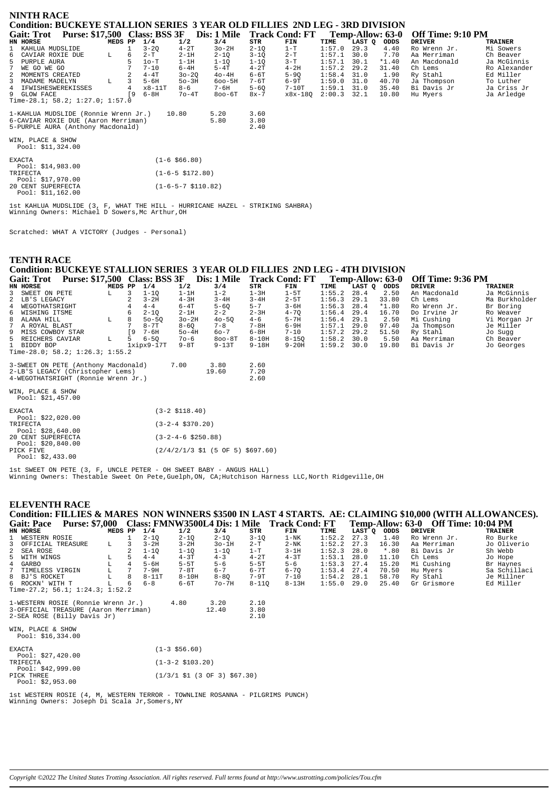| NINTH RACE<br>Condition: BUCKEYE STALLION SERIES 3 YEAR OLD FILLIES 2ND LEG - 3RD DIVISION<br><b>Purse: \$17,500 Class: BSS 3F</b><br>Dis: 1 Mile<br><b>Track Cond: FT</b><br>Off Time: 9:10 PM<br><b>Gait: Trot</b><br>Temp-Allow: 63-0 |              |                      |                                                                                       |                                                                                    |                                                                                      |                                                                                      |                                                                               |                                                                              |                                                              |                                                                     |                                                                                                              |                                                                                                              |
|------------------------------------------------------------------------------------------------------------------------------------------------------------------------------------------------------------------------------------------|--------------|----------------------|---------------------------------------------------------------------------------------|------------------------------------------------------------------------------------|--------------------------------------------------------------------------------------|--------------------------------------------------------------------------------------|-------------------------------------------------------------------------------|------------------------------------------------------------------------------|--------------------------------------------------------------|---------------------------------------------------------------------|--------------------------------------------------------------------------------------------------------------|--------------------------------------------------------------------------------------------------------------|
| HN HORSE                                                                                                                                                                                                                                 | MEDS PP      |                      | 1/4                                                                                   | 1/2                                                                                | 3/4                                                                                  | STR                                                                                  | FIN                                                                           | TIME                                                                         | LAST Q                                                       | ODDS                                                                | <b>DRIVER</b>                                                                                                | <b>TRAINER</b>                                                                                               |
| $\mathbf{1}$<br>KAHLUA MUDSLIDE<br>6 CAVIAR ROXIE DUE<br>$5 -$<br>PURPLE AURA<br>WE GO WE GO<br>7<br>2 MOMENTS CREATED<br>$\overline{3}$<br>MADAME MADELYN<br>4 IFWISHESWEREKISSES<br>9 GLOW FACE                                        | L.<br>L      | 6<br>5<br>4<br>ſ9    | $3 - 20$<br>$2-T$<br>$1o-T$<br>$7 - 10$<br>$4 - 4T$<br>$5 - 6H$<br>x8-11T<br>$6 - 8H$ | $4-2T$<br>$2-1H$<br>$1-1H$<br>$6-4H$<br>$30 - 20$<br>$50-3H$<br>$8 - 6$<br>$7o-4T$ | $3o-2H$<br>$2 - 10$<br>1-1Q<br>$5-4T$<br>$40-4H$<br>$600 - 5H$<br>7-6H<br>$800 - 6T$ | $2 - 10$<br>$3 - 10$<br>$1 - 10$<br>$4-2T$<br>$6 - 6T$<br>7-6T<br>$5 - 60$<br>$8x-7$ | $1-T$<br>$2-T$<br>$3-T$<br>$4-2H$<br>$5 - 90$<br>$6-9T$<br>$7-10T$<br>x8x-180 | 1:57.0<br>1:57.1<br>1:57.1<br>1:57.2<br>1:58.4<br>1:59.0<br>1:59.1<br>2:00.3 | 29.3<br>30.0<br>30.1<br>29.2<br>31.0<br>31.0<br>31.0<br>32.1 | 4.40<br>7.70<br>$*1.40$<br>31.40<br>1.90<br>40.70<br>35.40<br>10.80 | Ro Wrenn Jr.<br>Aa Merriman<br>An Macdonald<br>Ch Lems<br>Ry Stahl<br>Ja Thompson<br>Bi Davis Jr<br>Hu Myers | Mi Sowers<br>Ch Beaver<br>Ja McGinnis<br>Ro Alexander<br>Ed Miller<br>To Luther<br>Ja Criss Jr<br>Ja Arledge |
| Time-28.1; 58.2; 1:27.0; 1:57.0<br>1-KAHLUA MUDSLIDE (Ronnie Wrenn Jr.)<br>6-CAVIAR ROXIE DUE (Aaron Merriman)<br>5-PURPLE AURA (Anthony Macdonald)<br>WIN, PLACE & SHOW<br>Pool: $$11,324.00$                                           | 5.20<br>5.80 | 3.60<br>3.80<br>2.40 |                                                                                       |                                                                                    |                                                                                      |                                                                                      |                                                                               |                                                                              |                                                              |                                                                     |                                                                                                              |                                                                                                              |

| <b>EXACTA</b>                           | $(1 - 6 \ $66.80)$           |
|-----------------------------------------|------------------------------|
| Pool: \$14,983.00<br>TRIFECTA           | $(1-6-5 \text{ } $172.80)$   |
| Pool: \$17,970.00                       |                              |
| 20 CENT SUPERFECTA<br>Pool: \$11,162.00 | $(1-6-5-7 \text{ } $110.82)$ |

1st KAHLUA MUDSLIDE (3, F, WHAT THE HILL - HURRICANE HAZEL - STRIKING SAHBRA) Winning Owners: Michael D Sowers,Mc Arthur,OH

Scratched: WHAT A VICTORY (Judges - Personal)

#### **TENTH RACE Condition: BUCKEYE STALLION SERIES 3 YEAR OLD FILLIES 2ND LEG - 4TH DIVISION Gait: Trot Purse: \$17,500 Class: BSS 3F Dis: 1 Mile Track Cond: FT Temp-Allow: 63-0 Off Time: 9:36 PM**

| Udil. 11VL<br><b>Turst.</b> $\psi$ 17,900 Class. DOO OF |                                 |         |     |                  |          | 1213. I BIR |           | TIACH COMA, L'I |               |        | 1 UMD-AMV 11 UJ-V | $\mathbf{U}$ . The $\mathbf{U}$ |                |
|---------------------------------------------------------|---------------------------------|---------|-----|------------------|----------|-------------|-----------|-----------------|---------------|--------|-------------------|---------------------------------|----------------|
|                                                         | HN HORSE                        | MEDS PP |     | 1/4              | 1/2      | 3/4         | STR       | FIN             | TIME          | LAST O | ODDS              | DRIVER                          | <b>TRAINER</b> |
|                                                         | 3 SWEET ON PETE                 | L.      |     | $1 - 10$         | 1-1H     | $1 - 2$     | 1 – 3H    | $1-5T$          | 1:55.2        | 28.4   | 2.50              | An Macdonald                    | Ja McGinnis    |
|                                                         | 2 LB'S LEGACY                   |         |     | $3 - 2H$         | $4-3H$   | $3 - 4H$    | $3 - 4H$  | $2 - 5T$        | 1:56.3        | -29.1  | 33.80             | Ch Lems                         | Ma Burkholder  |
|                                                         | 4 WEGOTHATSRIGHT                |         |     | $4 - 4$          | $6-4T$   | $5 - 60$    | $5 - 7$   | $3 - 6H$        | $1:56.3$ 28.4 |        | $*1.80$           | Ro Wrenn Jr.                    | Br Boring      |
|                                                         | 6 WISHING ITSME                 |         |     | $2 - 10$         | $2-1H$   | $2 - 2$     | $2 - 3H$  | $4 - 70$        | $1:56.4$ 29.4 |        | 16.70             | Do Irvine Jr                    | Ro Weaver      |
|                                                         | 8 ALANA HILL                    | L.      | 8.  | $50 - 50$        | $3o-2H$  | $40 - 50$   | $4 - 6$   | $5 - 7H$        | $1:56.4$ 29.1 |        | 2.50              | Mi Cushing                      | Vi Morgan Jr   |
|                                                         | 7 A ROYAL BLAST                 |         |     | $8 - 7T$         | $8 - 60$ | $7 - 8$     | $7 - 8H$  | 6-9H            | $1:57.1$ 29.0 |        | 97.40             | Ja Thompson                     | Je Miller      |
|                                                         | 9 MISS COWBOY STAR              |         | ſ9. | 7-6H             | $50-4H$  | 60-7        | 6-8H      | $7 - 10$        | $1:57.2$ 29.2 |        | 51.50             | Ry Stahl                        | Jo Sugg        |
|                                                         | 5 REICHERS CAVIAR               | L       | 5.  | $6 - 50$         | $70 - 6$ | $800 - 8T$  | $8-10H$   | $8 - 150$       | $1:58.2$ 30.0 |        | 5.50              | Aa Merriman                     | Ch Beaver      |
|                                                         | 1 BIDDY BOP                     |         |     | $1x$ ip $x9-17T$ | $9-8T$   | $9-13T$     | $9 - 18H$ | $9 - 20H$       | $1:59.2$ 30.0 |        | 19.80             | Bi Davis Jr                     | Jo Georges     |
|                                                         | Time-28.0; 58.2; 1:26.3; 1:55.2 |         |     |                  |          |             |           |                 |               |        |                   |                                 |                |
|                                                         |                                 |         |     |                  |          |             |           |                 |               |        |                   |                                 |                |

| 3-SWEET ON PETE (Anthony Macdonald) | 7.00 | 3.80  | 2.60 |
|-------------------------------------|------|-------|------|
| 2-LB'S LEGACY (Christopher Lems)    |      | 19.60 | 7.20 |
| 4-WEGOTHATSRIGHT (Ronnie Wrenn Jr.) |      |       | 2.60 |

WIN, PLACE & SHOW Pool: \$21,457.00

| $1001 \cdot 921, 137.00$ |                                                              |
|--------------------------|--------------------------------------------------------------|
| <b>EXACTA</b>            | $(3-2 \; $118.40)$                                           |
| Pool: $$22,020.00$       |                                                              |
| TRIFECTA                 | $(3-2-4 \text{ } $370.20)$                                   |
| Pool: \$28,640.00        |                                                              |
| 20 CENT SUPERFECTA       | $(3-2-4-6 \text{ } $250.88)$                                 |
| Pool: $$20,840.00$       |                                                              |
| PICK FIVE                | $(2/4/2/1/3 \text{ } 51 (5 \text{ OF } 5) \text{ } $697.60)$ |
| Pool: $$2.433.00$        |                                                              |
|                          |                                                              |

1st SWEET ON PETE (3, F, UNCLE PETER - OH SWEET BABY - ANGUS HALL) Winning Owners: Thestable Sweet On Pete,Guelph,ON, CA;Hutchison Harness LLC,North Ridgeville,OH

#### **ELEVENTH RACE**

## **Condition: FILLIES & MARES NON WINNERS \$3500 IN LAST 4 STARTS. AE: CLAIMING \$10,000 (WITH ALLOWANCES). Gait: Pace Purse: \$7,000 Class: FMNW3500L4 Dis: 1 Mile Track Cond: FT Temp-Allow: 63-0 Off Time: 10:04 PM**

|   | HN HORSE                        | MEDS PP |   | 1/4       | 1/2       | 3/4      | STR       | FIN       | TIME   | LAST O | ODDS    | <b>DRIVER</b> | <b>TRAINER</b> |
|---|---------------------------------|---------|---|-----------|-----------|----------|-----------|-----------|--------|--------|---------|---------------|----------------|
|   | 1 WESTERN ROSIE                 |         |   | $2 - 10$  | $2 - 10$  | 2-10     | $3 - 10$  | 1-NK      | 1:52.2 | 27.3   | 1.40    | Ro Wrenn Jr.  | Ro Burke       |
|   | 3 OFFICIAL TREASURE             | ÷τ.     |   | $3 - 2H$  | $3 - 2H$  | $3o-1H$  | 2-T       | $2-NK$    | 1:52.2 | 27.3   | 16.30   | Aa Merriman   | Jo Oliverio    |
|   | 2 SEA ROSE                      |         |   | $1-10$    | $1 - 10$  | 1-10     | $1 - T$   | $3-1H$    | 1:52.3 | 28.0   | $*$ .80 | Bi Davis Jr   | Sh Webb        |
|   | 5 WITH WINGS                    | ш.      |   | $4 - 4$   | $4-3T$    | $4 - 3$  | $4-2T$    | $4 - 3T$  | 1:53.1 | 28.0   | 11.10   | Ch Lems       | Jo Hope        |
|   | 4 GARBO                         |         | 4 | $5 - 6H$  | $5-5T$    | $5 - 6$  | $5-5T$    | $5 - 6$   | 1:53.3 | 27.4   | 15.20   | Mi Cushing    | Br Haynes      |
| 7 | TIMELESS VIRGIN                 |         |   | $7 - 9H$  | 7-8T      | $6 - 7$  | $6 - 7T$  | $6 - 70$  | 1:53.4 | 27.4   | 70.50   | Hu Mvers      | Sa Schillaci   |
|   | 8 BJ'S ROCKET                   |         | 8 | $8 - 11T$ | $8 - 10H$ | $8 - 80$ | $7-9T$    | $7 - 10$  | 1:54.2 | 28.1   | 58.70   | Ry Stahl      | Je Millner     |
|   | 6 ROCKN'<br>WITH T              |         | 6 | $6 - 8$   | 6-6T      | $7o-7H$  | $8 - 110$ | $8 - 13H$ | 1:55.0 | 29.0   | 25.40   | Gr Grismore   | Ed Miller      |
|   | Time-27.2; 56.1; 1:24.3; 1:52.2 |         |   |           |           |          |           |           |        |        |         |               |                |

| 1-WESTERN ROSIE (Ronnie Wrenn Jr.)   | 4.80 | 320   | 2.10 |
|--------------------------------------|------|-------|------|
| 3-OFFICIAL TREASURE (Aaron Merriman) |      | 12.40 | 3.80 |
| 2-SEA ROSE (Billy Davis Jr)          |      |       | 2.10 |
| LITNT.<br>DI 305 C OUGLI             |      |       |      |

| WIN. PLACE & SHOW  |  |  |  |
|--------------------|--|--|--|
| Pool: $$16,334.00$ |  |  |  |

| <b>EXACTA</b>                                      | $(1-3 \; $56.60)$                                                         |
|----------------------------------------------------|---------------------------------------------------------------------------|
| Pool: \$27,420.00<br>TRIFECTA<br>Pool: \$42,999.00 | $(1-3-2 \; $103.20)$                                                      |
| PICK THREE<br>Pool: $$2.953.00$                    | $(1/3/1 \text{ } $1 \text{ } (3 \text{ } 0F \text{ } 3) \text{ } $67.30)$ |

1st WESTERN ROSIE (4, M, WESTERN TERROR - TOWNLINE ROSANNA - PILGRIMS PUNCH) Winning Owners: Joseph Di Scala Jr,Somers,NY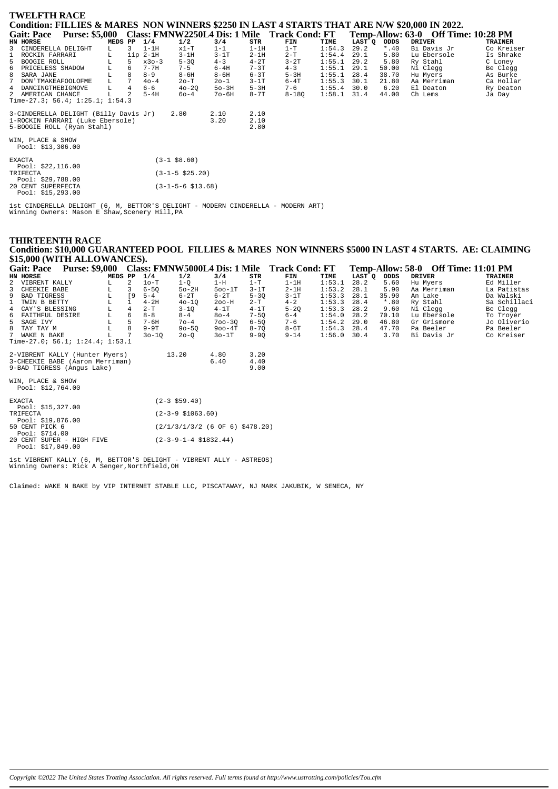| <b>TWELFTH RACE</b>                                                                                     |                                              |              |                      |          |                 |        |         |                                     |                |
|---------------------------------------------------------------------------------------------------------|----------------------------------------------|--------------|----------------------|----------|-----------------|--------|---------|-------------------------------------|----------------|
| Condition: FILLIES & MARES NON WINNERS \$2250 IN LAST 4 STARTS THAT ARE N/W \$20,000 IN 2022.           |                                              |              |                      |          |                 |        |         |                                     |                |
| <b>Purse: \$5,000</b><br><b>Gait: Pace</b>                                                              | Class: FMNW2250L4 Dis: 1 Mile Track Cond: FT |              |                      |          |                 |        |         | Temp-Allow: 63-0 Off Time: 10:28 PM |                |
| HN HORSE<br>MEDS PP                                                                                     | 1/4<br>1/2                                   | 3/4          | STR                  | FIN      | TIME            | LAST Q | ODDS    | <b>DRIVER</b>                       | <b>TRAINER</b> |
| 3 CINDERELLA DELIGHT<br>$\overline{3}$<br>L.                                                            | $1-1H$<br>$x1-T$                             | $1 - 1$      | $1-1H$               | $1-T$    | 1:54.3          | 29.2   | $*$ .40 | Bi Davis Jr                         | Co Kreiser     |
| $\mathbf{1}$<br>ROCKIN FARRARI<br>L                                                                     | $3-1H$<br>$1ip 2-1H$                         | $3-1T$       | $2 - 1H$             | $2-T$    | 1:54.4          | 29.1   | 5.80    | Lu Ebersole                         | Is Shrake      |
| 5 BOOGIE ROLL<br>5                                                                                      | $5 - 3Q$<br>$x30-3$                          | $4 - 3$      | $4 - 2T$             | $3 - 2T$ | 1:55.1          | 29.2   | 5.80    | Ry Stahl                            | C Loney        |
| L<br>6 PRICELESS SHADOW<br>6                                                                            | $7 - 7H$<br>$7 - 5$                          | $6-4H$       | $7 - 3T$             | $4 - 3$  | $1:55.1$ 29.1   |        | 50.00   | Ni Clegg                            | Be Clegg       |
| 8<br>8 SARA JANE<br>$^{\rm L}_{\rm L}$                                                                  | $8 - 9$<br>$8-6H$                            | $8 - 6H$     | $6 - 3T$             | $5-3H$   | $1:55.1$ 28.4   |        | 38.70   | Hu Myers                            | As Burke       |
| 7<br>$7\overline{ }$<br>DON ' TMAKEAFOOLOFME                                                            | $40 - 4$<br>$2o-T$                           | $20 - 1$     | $3-1T$               | $6 - 4T$ | 1:55.3          | 30.1   | 21.80   | Aa Merriman                         | Ca Hollar      |
| $\overline{4}$<br>4 DANCINGTHEBIGMOVE<br>L                                                              | 6-6<br>$40 - 2Q$                             | $50-3H$      | $5-3H$               | $7 - 6$  | $1:55.4$ 30.0   |        | 6.20    | El Deaton                           | Ry Deaton      |
| 2 AMERICAN CHANCE<br>L                                                                                  | $5-4H$<br>60-4                               | $70-6H$      | $8 - 7T$             | 8-180    | $1:58.1$ $31.4$ |        | 44.00   | Ch Lems                             | Ja Day         |
| Time-27.3; 56.4; $1:25.1; 1:54.3$                                                                       |                                              |              |                      |          |                 |        |         |                                     |                |
| 3-CINDERELLA DELIGHT (Billy Davis Jr)<br>1-ROCKIN FARRARI (Luke Ebersole)<br>5-BOOGIE ROLL (Ryan Stahl) | 2.80                                         | 2.10<br>3.20 | 2.10<br>2.10<br>2.80 |          |                 |        |         |                                     |                |
| WIN, PLACE & SHOW<br>Pool: $$13,306.00$                                                                 |                                              |              |                      |          |                 |        |         |                                     |                |
| <b>EXACTA</b><br>Pool: $$22,116.00$                                                                     | $(3-1$ \$8.60)                               |              |                      |          |                 |        |         |                                     |                |
| TRIFECTA<br>Pool: \$29,788.00                                                                           | $(3-1-5 \; $25.20)$                          |              |                      |          |                 |        |         |                                     |                |
| 20 CENT SUPERFECTA<br>Pool: \$15,293.00                                                                 | $(3-1-5-6 \; $13.68)$                        |              |                      |          |                 |        |         |                                     |                |

1st CINDERELLA DELIGHT (6, M, BETTOR'S DELIGHT - MODERN CINDERELLA - MODERN ART)<br>Winning Owners: Mason E Shaw, Scenery Hill, PA

## THIRTEENTH RACE Condition: \$10,000 GUARANTEED POOL FILLIES & MARES NON WINNERS \$5000 IN LAST 4 STARTS. AE: CLAIMING \$15,000 (WITH ALLOWANCES).

| <b>Gait: Pace</b>                    | <b>Purse: \$9,000</b> |         |     |           | Class: FMNW5000L4 Dis: 1 Mile |            |          | <b>Track Cond: FT</b> |        | Temp-Allow: 58-0 |         | <b>Off Time: 11:01 PM</b> |                |
|--------------------------------------|-----------------------|---------|-----|-----------|-------------------------------|------------|----------|-----------------------|--------|------------------|---------|---------------------------|----------------|
| HN HORSE                             |                       | MEDS PP |     | 1/4       | 1/2                           | 3/4        | STR      | FIN                   | TIME   | LAST O           | ODDS    | <b>DRIVER</b>             | <b>TRAINER</b> |
| 2 VIBRENT KALLY                      |                       | L.      | 2   | 10-T      | 1-Q                           | 1-H        | $1-T$    | $1-1H$                | 1:53.1 | 28.2             | 5.60    | Hu Myers                  | Ed Miller      |
| 3 CHEEKIE BABE                       |                       | L.      | 3   | $6 - 50$  | $50-2H$                       | $500-1T$   | $3-1T$   | $2-1H$                | 1:53.2 | 28.1             | 5.90    | Aa Merriman               | La Patistas    |
| 9 BAD TIGRESS                        |                       | L       | ſ9. | $5 - 4$   | $6-2T$                        | $6-2T$     | $5 - 30$ | $3-1T$                | 1:53.3 | 28.1             | 35.90   | An Lake                   | Da Walski      |
| 1 TWIN B BETTY                       |                       | L       |     | $4-2H$    | $40 - 10$                     | $200-H$    | 2-T      | $4 - 2$               | 1:53.3 | 28.4             | $*$ .80 | Ry Stahl                  | Sa Schillaci   |
| 4 CAY'S BLESSING                     |                       | L       | 4   | $2-T$     | $3 - 10$                      | $4-1T$     | $4-1T$   | $5 - 20$              | 1:53.3 | 28.2             | 9.60    | Ni Clegg                  | Be Clegg       |
| 6 FAITHFUL DESIRE                    |                       | L       | 6   | $8 - 8$   | $8 - 4$                       | $80 - 4$   | $7 - 50$ | $6 - 4$               | 1:54.0 | 28.2             | 70.10   | Lu Ebersole               | To Troyer      |
| 5 SAGE IVY                           |                       | L       | 5   | $7 - 6H$  | $70 - 4$                      | $700 - 30$ | $6 - 50$ | $7 - 6$               | 1:54.2 | 29.0             | 46.80   | Gr Grismore               | Jo Oliverio    |
| 8 TAY TAY M                          |                       | L       | 8   | $9-9T$    | $90 - 50$                     | $900 - 4T$ | $8 - 70$ | $8-6T$                | 1:54.3 | 28.4             | 47.70   | Pa Beeler                 | Pa Beeler      |
| 7 WAKE N BAKE                        |                       | L       |     | $30 - 10$ | $20 - 0$                      | $30-1T$    | $9 - 90$ | $9 - 14$              | 1:56.0 | 30.4             | 3.70    | Bi Davis Jr               | Co Kreiser     |
| Time-27.0; 56.1; $1:24.4$ ; $1:53.1$ |                       |         |     |           |                               |            |          |                       |        |                  |         |                           |                |
| 2-VIBRENT KALLY (Hunter Myers)       |                       |         |     |           | 13.20                         | 4.80       | 3.20     |                       |        |                  |         |                           |                |
| 3-CHEEKIE BABE (Aaron Merriman)      |                       |         |     |           |                               | 6.40       | 4.40     |                       |        |                  |         |                           |                |
| 9-BAD TIGRESS (Angus Lake)           |                       |         |     |           |                               |            | 9.00     |                       |        |                  |         |                           |                |
| WIN, PLACE & SHOW                    |                       |         |     |           |                               |            |          |                       |        |                  |         |                           |                |
| Pool: \$12.764.00                    |                       |         |     |           |                               |            |          |                       |        |                  |         |                           |                |

| <b>EXACTA</b>             | $(2 - 3 \text{ } 559.40)$         |  |
|---------------------------|-----------------------------------|--|
| Pool: \$15,327.00         |                                   |  |
| TRIFECTA                  | $(2-3-9 \; $1063.60)$             |  |
| Pool: \$19,876.00         |                                   |  |
| 50 CENT PICK 6            | $(2/1/3/1/3/2$ (6 OF 6) \$478.20) |  |
| Pool: \$714.00            |                                   |  |
| 20 CENT SUPER - HIGH FIVE | $(2-3-9-1-4 \; $1832.44)$         |  |
| Pool: $$17,049.00$        |                                   |  |

1st VIBRENT KALLY (6, M, BETTOR'S DELIGHT - VIBRENT ALLY - ASTREOS)<br>Winning Owners: Rick A Senger, Northfield, OH

Claimed: WAKE N BAKE by VIP INTERNET STABLE LLC, PISCATAWAY, NJ MARK JAKUBIK, W SENECA, NY